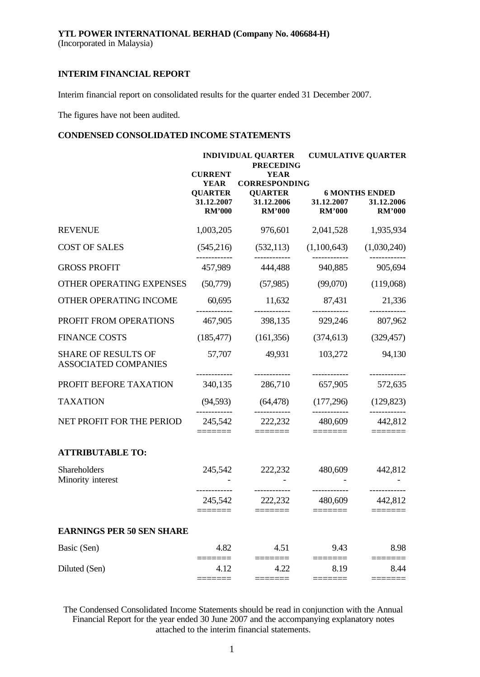Interim financial report on consolidated results for the quarter ended 31 December 2007.

The figures have not been audited.

## **CONDENSED CONSOLIDATED INCOME STATEMENTS**

|                                                    | <b>INDIVIDUAL QUARTER</b><br><b>PRECEDING</b>                                  |                                                                                      |                                                                                                                                                                                                                                                                                                                                                                                                                                                                            | <b>CUMULATIVE QUARTER</b>                            |  |  |  |
|----------------------------------------------------|--------------------------------------------------------------------------------|--------------------------------------------------------------------------------------|----------------------------------------------------------------------------------------------------------------------------------------------------------------------------------------------------------------------------------------------------------------------------------------------------------------------------------------------------------------------------------------------------------------------------------------------------------------------------|------------------------------------------------------|--|--|--|
|                                                    | <b>CURRENT</b><br><b>YEAR</b><br><b>QUARTER</b><br>31.12.2007<br><b>RM'000</b> | <b>YEAR</b><br><b>CORRESPONDING</b><br><b>QUARTER</b><br>31.12.2006<br><b>RM'000</b> | 31.12.2007<br><b>RM'000</b>                                                                                                                                                                                                                                                                                                                                                                                                                                                | <b>6 MONTHS ENDED</b><br>31.12.2006<br><b>RM'000</b> |  |  |  |
| <b>REVENUE</b>                                     | 1,003,205                                                                      | 976,601                                                                              | 2,041,528                                                                                                                                                                                                                                                                                                                                                                                                                                                                  | 1,935,934                                            |  |  |  |
| <b>COST OF SALES</b>                               | (545,216)                                                                      | (532, 113)                                                                           | (1,100,643)                                                                                                                                                                                                                                                                                                                                                                                                                                                                | (1,030,240)                                          |  |  |  |
| <b>GROSS PROFIT</b>                                | 457,989                                                                        | 444,488                                                                              | 940,885                                                                                                                                                                                                                                                                                                                                                                                                                                                                    | ---------<br>905,694                                 |  |  |  |
| OTHER OPERATING EXPENSES                           | (50,779)                                                                       | (57,985)                                                                             | (99,070)                                                                                                                                                                                                                                                                                                                                                                                                                                                                   | (119,068)                                            |  |  |  |
| OTHER OPERATING INCOME                             | 60,695                                                                         | 11,632                                                                               | 87,431                                                                                                                                                                                                                                                                                                                                                                                                                                                                     | 21,336                                               |  |  |  |
| PROFIT FROM OPERATIONS                             | 467,905                                                                        | 398,135                                                                              | 929,246                                                                                                                                                                                                                                                                                                                                                                                                                                                                    | 807,962                                              |  |  |  |
| <b>FINANCE COSTS</b>                               | (185, 477)                                                                     | (161, 356)                                                                           | (374, 613)                                                                                                                                                                                                                                                                                                                                                                                                                                                                 | (329, 457)                                           |  |  |  |
| <b>SHARE OF RESULTS OF</b><br>ASSOCIATED COMPANIES | 57,707                                                                         | 49,931                                                                               | 103,272                                                                                                                                                                                                                                                                                                                                                                                                                                                                    | 94,130                                               |  |  |  |
| PROFIT BEFORE TAXATION                             | 340,135                                                                        | 286,710                                                                              | 657,905                                                                                                                                                                                                                                                                                                                                                                                                                                                                    | 572,635                                              |  |  |  |
| <b>TAXATION</b>                                    | (94, 593)                                                                      | (64, 478)                                                                            | (177,296)                                                                                                                                                                                                                                                                                                                                                                                                                                                                  | (129, 823)                                           |  |  |  |
| NET PROFIT FOR THE PERIOD                          | 245,542                                                                        | 222,232                                                                              | ------------<br>480,609<br>======                                                                                                                                                                                                                                                                                                                                                                                                                                          | -----------<br>442,812                               |  |  |  |
| <b>ATTRIBUTABLE TO:</b>                            |                                                                                |                                                                                      |                                                                                                                                                                                                                                                                                                                                                                                                                                                                            |                                                      |  |  |  |
| Shareholders<br>Minority interest                  | 245,542                                                                        | 222,232                                                                              | 480,609                                                                                                                                                                                                                                                                                                                                                                                                                                                                    | 442,812                                              |  |  |  |
|                                                    | 245,542<br>======                                                              | ------------<br>222,232                                                              | 480,609<br>$\begin{tabular}{ll} \multicolumn{3}{l}{{\color{blue}\textbf{1}}}\\[-2.5mm]{\color{blue}\textbf{2}}\\[-2.5mm]{\color{blue}\textbf{2}}\\[-2.5mm]{\color{blue}\textbf{3}}\\[-2.5mm]{\color{blue}\textbf{4}}\\[-2.5mm]{\color{blue}\textbf{4}}\\[-2.5mm]{\color{blue}\textbf{4}}\\[-2.5mm]{\color{blue}\textbf{5}}\\[-2.5mm]{\color{blue}\textbf{4}}\\[-2.5mm]{\color{blue}\textbf{5}}\\[-2.5mm]{\color{blue}\textbf{5}}\\[-2.5mm]{\color{blue}\textbf{6}}\\[-2.5$ | 442,812                                              |  |  |  |
| <b>EARNINGS PER 50 SEN SHARE</b>                   |                                                                                |                                                                                      |                                                                                                                                                                                                                                                                                                                                                                                                                                                                            |                                                      |  |  |  |
| Basic (Sen)                                        | 4.82                                                                           | 4.51                                                                                 | 9.43                                                                                                                                                                                                                                                                                                                                                                                                                                                                       | 8.98                                                 |  |  |  |
| Diluted (Sen)                                      | 4.12                                                                           | 4.22                                                                                 | 8.19                                                                                                                                                                                                                                                                                                                                                                                                                                                                       | 8.44                                                 |  |  |  |

The Condensed Consolidated Income Statements should be read in conjunction with the Annual Financial Report for the year ended 30 June 2007 and the accompanying explanatory notes attached to the interim financial statements.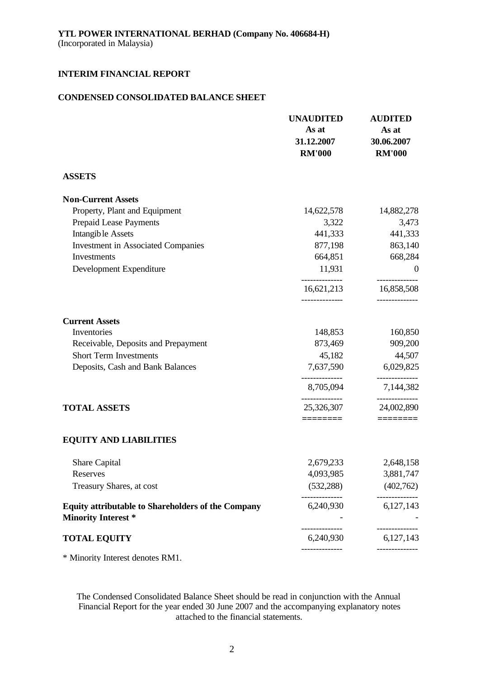## **CONDENSED CONSOLIDATED BALANCE SHEET**

|                                                                                         | <b>UNAUDITED</b><br>As at<br>31.12.2007<br><b>RM'000</b> | <b>AUDITED</b><br>As at<br>30.06.2007<br><b>RM'000</b> |
|-----------------------------------------------------------------------------------------|----------------------------------------------------------|--------------------------------------------------------|
| <b>ASSETS</b>                                                                           |                                                          |                                                        |
| <b>Non-Current Assets</b>                                                               |                                                          |                                                        |
| Property, Plant and Equipment                                                           | 14,622,578                                               | 14,882,278                                             |
| Prepaid Lease Payments                                                                  | 3,322                                                    | 3,473                                                  |
| <b>Intangible Assets</b>                                                                | 441,333                                                  | 441,333                                                |
| <b>Investment in Associated Companies</b>                                               | 877,198                                                  | 863,140                                                |
| Investments                                                                             | 664,851                                                  | 668,284                                                |
| Development Expenditure                                                                 | 11,931                                                   | $\boldsymbol{0}$                                       |
|                                                                                         | 16,621,213                                               | 16,858,508                                             |
| <b>Current Assets</b>                                                                   |                                                          |                                                        |
| Inventories                                                                             | 148,853                                                  | 160,850                                                |
| Receivable, Deposits and Prepayment                                                     | 873,469                                                  | 909,200                                                |
| <b>Short Term Investments</b>                                                           | 45,182                                                   | 44,507                                                 |
| Deposits, Cash and Bank Balances                                                        | 7,637,590                                                | 6,029,825                                              |
|                                                                                         | 8,705,094                                                | 7,144,382                                              |
| <b>TOTAL ASSETS</b>                                                                     | 25,326,307                                               | 24,002,890                                             |
| <b>EQUITY AND LIABILITIES</b>                                                           | ========                                                 |                                                        |
| Share Capital                                                                           | 2,679,233                                                | 2,648,158                                              |
| Reserves                                                                                | 4,093,985                                                | 3,881,747                                              |
| Treasury Shares, at cost                                                                | (532, 288)                                               | (402,762)                                              |
| <b>Equity attributable to Shareholders of the Company</b><br><b>Minority Interest *</b> | 6,240,930                                                | 6,127,143                                              |
| <b>TOTAL EQUITY</b>                                                                     | 6,240,930                                                | 6,127,143                                              |
|                                                                                         |                                                          |                                                        |

\* Minority Interest denotes RM1.

The Condensed Consolidated Balance Sheet should be read in conjunction with the Annual Financial Report for the year ended 30 June 2007 and the accompanying explanatory notes attached to the financial statements.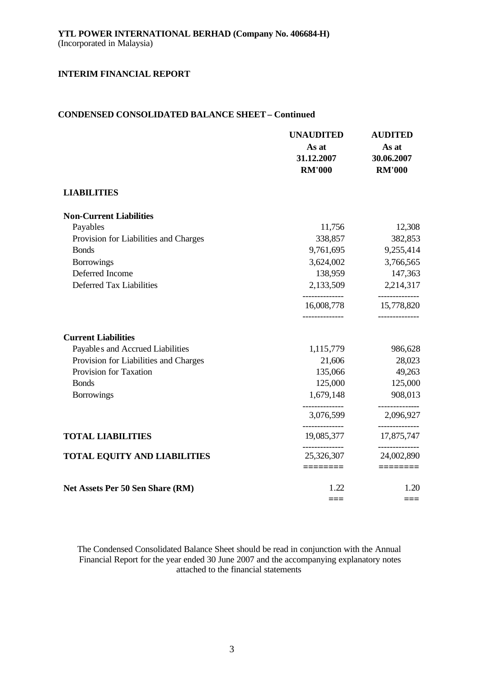## **CONDENSED CONSOLIDATED BALANCE SHEET – Continued**

|                                       | <b>UNAUDITED</b><br>As at<br>31.12.2007<br><b>RM'000</b> | <b>AUDITED</b><br>As at<br>30.06.2007<br><b>RM'000</b> |
|---------------------------------------|----------------------------------------------------------|--------------------------------------------------------|
| <b>LIABILITIES</b>                    |                                                          |                                                        |
| <b>Non-Current Liabilities</b>        |                                                          |                                                        |
| Payables                              | 11,756                                                   | 12,308                                                 |
| Provision for Liabilities and Charges | 338,857                                                  | 382,853                                                |
| <b>Bonds</b>                          | 9,761,695                                                | 9,255,414                                              |
| <b>Borrowings</b>                     | 3,624,002                                                | 3,766,565                                              |
| Deferred Income                       | 138,959                                                  | 147,363                                                |
| Deferred Tax Liabilities              | 2,133,509                                                | 2,214,317                                              |
|                                       | 16,008,778                                               | ----------<br>15,778,820                               |
| <b>Current Liabilities</b>            |                                                          |                                                        |
| Payable s and Accrued Liabilities     | 1,115,779                                                | 986,628                                                |
| Provision for Liabilities and Charges | 21,606                                                   | 28,023                                                 |
| Provision for Taxation                | 135,066                                                  | 49,263                                                 |
| <b>Bonds</b>                          | 125,000                                                  | 125,000                                                |
| <b>Borrowings</b>                     | 1,679,148                                                | 908,013                                                |
|                                       | 3,076,599                                                | 2,096,927                                              |
| <b>TOTAL LIABILITIES</b>              | 19,085,377                                               | 17,875,747                                             |
| <b>TOTAL EQUITY AND LIABILITIES</b>   | 25,326,307                                               | -----------<br>24,002,890                              |
|                                       | ========                                                 | $=$ =======                                            |
| Net Assets Per 50 Sen Share (RM)      | 1.22                                                     | 1.20                                                   |
|                                       |                                                          | ===                                                    |

The Condensed Consolidated Balance Sheet should be read in conjunction with the Annual Financial Report for the year ended 30 June 2007 and the accompanying explanatory notes attached to the financial statements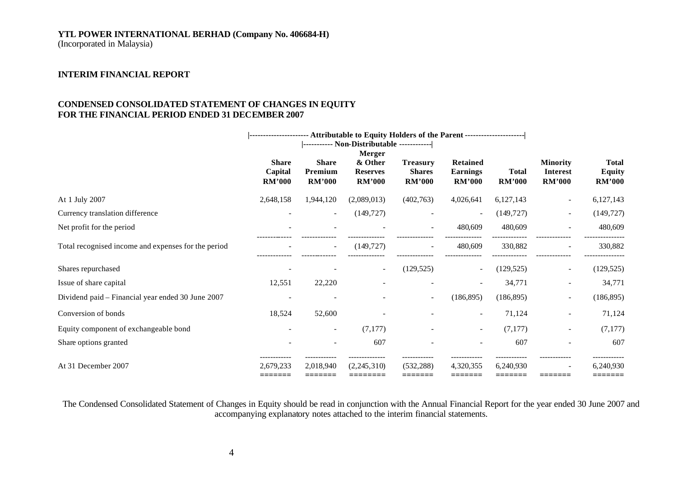## **YTL POWER INTERNATIONAL BERHAD (Company No. 406684-H)**

(Incorporated in Malaysia)

## **INTERIM FINANCIAL REPORT**

## **CONDENSED CONSOLIDATED STATEMENT OF CHANGES IN EQUITY FOR THE FINANCIAL PERIOD ENDED 31 DECEMBER 2007**

|                                                     | ---------------------- Attributable to Equity Holders of the Parent --------------------- |                                          |                                                       |                                                   |                                              |                               |                                                     |                                         |
|-----------------------------------------------------|-------------------------------------------------------------------------------------------|------------------------------------------|-------------------------------------------------------|---------------------------------------------------|----------------------------------------------|-------------------------------|-----------------------------------------------------|-----------------------------------------|
|                                                     | <b>Share</b><br>Capital<br><b>RM'000</b>                                                  | <b>Share</b><br>Premium<br><b>RM'000</b> | Merger<br>& Other<br><b>Reserves</b><br><b>RM'000</b> | <b>Treasury</b><br><b>Shares</b><br><b>RM'000</b> | Retained<br><b>Earnings</b><br><b>RM'000</b> | <b>Total</b><br><b>RM'000</b> | <b>Minority</b><br><b>Interest</b><br><b>RM'000</b> | <b>Total</b><br>Equity<br><b>RM'000</b> |
| At 1 July 2007                                      | 2,648,158                                                                                 | 1,944,120                                | (2,089,013)                                           | (402,763)                                         | 4,026,641                                    | 6,127,143                     | $\overline{\phantom{a}}$                            | 6,127,143                               |
| Currency translation difference                     |                                                                                           | $\overline{\phantom{a}}$                 | (149, 727)                                            |                                                   |                                              | (149, 727)                    | $\overline{\phantom{a}}$                            | (149, 727)                              |
| Net profit for the period                           |                                                                                           |                                          |                                                       |                                                   | 480,609                                      | 480,609                       |                                                     | 480,609                                 |
| Total recognised income and expenses for the period |                                                                                           | $\overline{\phantom{a}}$                 | (149, 727)                                            |                                                   | 480,609                                      | 330,882                       |                                                     | 330,882                                 |
| Shares repurchased                                  |                                                                                           |                                          | $\sim$                                                | (129, 525)                                        |                                              | (129, 525)                    | $\overline{\phantom{a}}$                            | (129, 525)                              |
| Issue of share capital                              | 12,551                                                                                    | 22,220                                   |                                                       |                                                   |                                              | 34,771                        | $\overline{\phantom{a}}$                            | 34,771                                  |
| Dividend paid – Financial year ended 30 June 2007   |                                                                                           |                                          |                                                       | $\sim$                                            | (186, 895)                                   | (186, 895)                    | $\overline{\phantom{a}}$                            | (186, 895)                              |
| Conversion of bonds                                 | 18,524                                                                                    | 52,600                                   |                                                       |                                                   | $\overline{\phantom{a}}$                     | 71,124                        | $\overline{\phantom{a}}$                            | 71,124                                  |
| Equity component of exchangeable bond               |                                                                                           | $\overline{\phantom{a}}$                 | (7,177)                                               |                                                   | $\sim$                                       | (7,177)                       |                                                     | (7,177)                                 |
| Share options granted                               |                                                                                           |                                          | 607                                                   |                                                   |                                              | 607                           |                                                     | 607                                     |
| At 31 December 2007                                 | 2,679,233<br>=======                                                                      | 2.018.940<br>--------                    | (2,245,310)<br>:=======                               | (532.288)<br>=======                              | 4.320.355<br>--------                        | 6,240,930<br>--------         |                                                     | 6,240,930<br>=======                    |

The Condensed Consolidated Statement of Changes in Equity should be read in conjunction with the Annual Financial Report for the year ended 30 June 2007 and accompanying explanatory notes attached to the interim financial statements.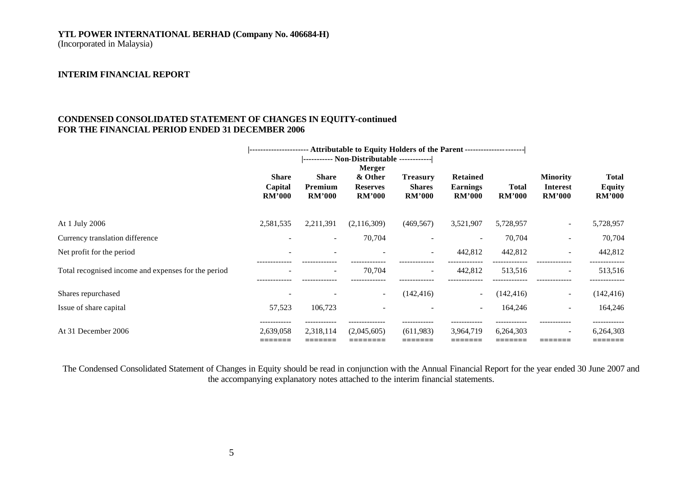# **YTL POWER INTERNATIONAL BERHAD (Company No. 406684-H)**

(Incorporated in Malaysia)

## **INTERIM FINANCIAL REPORT**

## **CONDENSED CONSOLIDATED STATEMENT OF CHANGES IN EQUITY-continued FOR THE FINANCIAL PERIOD ENDED 31 DECEMBER 2006**

|                                                     |                |                          | ---------------------- Attributable to Equity Holders of the Parent --------------------- |                          |                          |               |                          |               |
|-----------------------------------------------------|----------------|--------------------------|-------------------------------------------------------------------------------------------|--------------------------|--------------------------|---------------|--------------------------|---------------|
|                                                     |                |                          | ----------- Non-Distributable ------------                                                |                          |                          |               |                          |               |
|                                                     |                |                          | <b>Merger</b>                                                                             |                          |                          |               |                          |               |
|                                                     | <b>Share</b>   | <b>Share</b>             | & Other                                                                                   | <b>Treasury</b>          | <b>Retained</b>          |               | <b>Minority</b>          | <b>Total</b>  |
|                                                     | Capital        | Premium                  | <b>Reserves</b>                                                                           | <b>Shares</b>            | <b>Earnings</b>          | <b>Total</b>  | Interest                 | <b>Equity</b> |
|                                                     | <b>RM'000</b>  | <b>RM'000</b>            | <b>RM'000</b>                                                                             | <b>RM'000</b>            | <b>RM'000</b>            | <b>RM'000</b> | <b>RM'000</b>            | <b>RM'000</b> |
| At 1 July 2006                                      | 2,581,535      | 2,211,391                | (2,116,309)                                                                               | (469, 567)               | 3,521,907                | 5,728,957     | $\sim$                   | 5,728,957     |
| Currency translation difference                     |                | $\overline{\phantom{a}}$ | 70,704                                                                                    |                          |                          | 70,704        | $\overline{a}$           | 70,704        |
| Net profit for the period                           |                | $\overline{\phantom{a}}$ |                                                                                           | $\sim$                   | 442,812                  | 442,812       | $\sim$                   | 442,812       |
| Total recognised income and expenses for the period |                | $\overline{\phantom{a}}$ | 70,704                                                                                    | $\overline{\phantom{a}}$ | 442,812                  | 513,516       | $\sim$                   | 513,516       |
| Shares repurchased                                  |                |                          |                                                                                           | (142, 416)               |                          | (142, 416)    | $\overline{\phantom{a}}$ | (142, 416)    |
|                                                     |                |                          |                                                                                           |                          |                          |               |                          |               |
| Issue of share capital                              | 57,523         | 106,723                  |                                                                                           |                          | $\overline{\phantom{a}}$ | 164,246       | $\overline{\phantom{a}}$ | 164,246       |
| At 31 December 2006                                 | .<br>2,639,058 | 2,318,114                | (2,045,605)                                                                               | (611,983)                | 3,964,719                | 6,264,303     | $\sim$                   | 6,264,303     |
|                                                     | --------       | --------                 |                                                                                           |                          | _______                  | --------      | --------                 | =======       |

The Condensed Consolidated Statement of Changes in Equity should be read in conjunction with the Annual Financial Report for the year ended 30 June 2007 and the accompanying explanatory notes attached to the interim financial statements.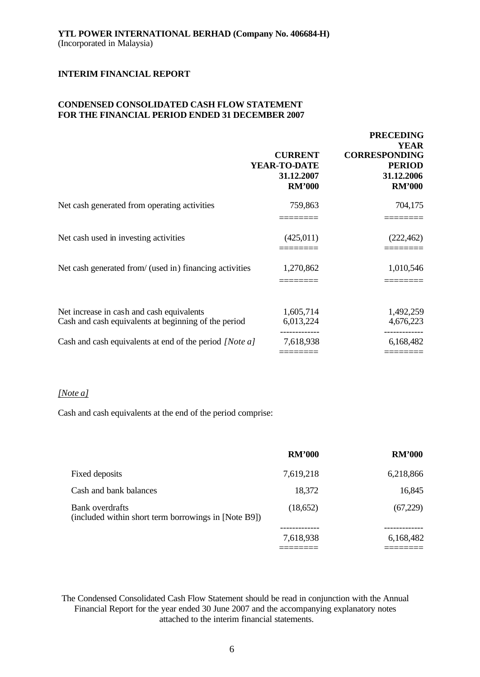## **CONDENSED CONSOLIDATED CASH FLOW STATEMENT FOR THE FINANCIAL PERIOD ENDED 31 DECEMBER 2007**

|                                                                                                   | <b>CURRENT</b><br>YEAR-TO-DATE<br>31.12.2007<br><b>RM'000</b> | <b>PRECEDING</b><br><b>YEAR</b><br><b>CORRESPONDING</b><br><b>PERIOD</b><br>31.12.2006<br><b>RM'000</b> |
|---------------------------------------------------------------------------------------------------|---------------------------------------------------------------|---------------------------------------------------------------------------------------------------------|
| Net cash generated from operating activities                                                      | 759,863                                                       | 704,175                                                                                                 |
| Net cash used in investing activities                                                             | (425,011)                                                     | (222, 462)                                                                                              |
| Net cash generated from/ (used in) financing activities                                           | 1,270,862                                                     | 1,010,546                                                                                               |
| Net increase in cash and cash equivalents<br>Cash and cash equivalents at beginning of the period | 1,605,714<br>6,013,224                                        | 1,492,259<br>4,676,223                                                                                  |
| Cash and cash equivalents at end of the period [Note a]                                           | 7,618,938                                                     | 6,168,482                                                                                               |

### *[Note a]*

Cash and cash equivalents at the end of the period comprise:

|                                                                         | <b>RM'000</b> | <b>RM'000</b> |
|-------------------------------------------------------------------------|---------------|---------------|
| Fixed deposits                                                          | 7,619,218     | 6,218,866     |
| Cash and bank balances                                                  | 18,372        | 16,845        |
| Bank overdrafts<br>(included within short term borrowings in [Note B9]) | (18,652)      | (67,229)      |
|                                                                         | 7,618,938     | 6,168,482     |
|                                                                         |               |               |

The Condensed Consolidated Cash Flow Statement should be read in conjunction with the Annual Financial Report for the year ended 30 June 2007 and the accompanying explanatory notes attached to the interim financial statements.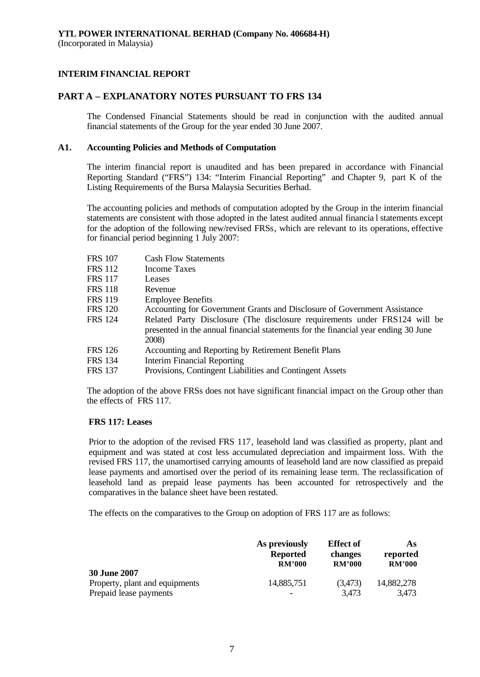## **PART A – EXPLANATORY NOTES PURSUANT TO FRS 134**

The Condensed Financial Statements should be read in conjunction with the audited annual financial statements of the Group for the year ended 30 June 2007.

### **A1. Accounting Policies and Methods of Computation**

The interim financial report is unaudited and has been prepared in accordance with Financial Reporting Standard ("FRS") 134: "Interim Financial Reporting" and Chapter 9, part K of the Listing Requirements of the Bursa Malaysia Securities Berhad.

The accounting policies and methods of computation adopted by the Group in the interim financial statements are consistent with those adopted in the latest audited annual financia l statements except for the adoption of the following new/revised FRSs, which are relevant to its operations, effective for financial period beginning 1 July 2007:

| <b>FRS 107</b> | <b>Cash Flow Statements</b>                                                                                                                                               |
|----------------|---------------------------------------------------------------------------------------------------------------------------------------------------------------------------|
| FRS 112        | <b>Income Taxes</b>                                                                                                                                                       |
| <b>FRS 117</b> | Leases                                                                                                                                                                    |
| FRS 118        | Revenue                                                                                                                                                                   |
| <b>FRS 119</b> | <b>Employee Benefits</b>                                                                                                                                                  |
| <b>FRS 120</b> | Accounting for Government Grants and Disclosure of Government Assistance                                                                                                  |
| <b>FRS</b> 124 | Related Party Disclosure (The disclosure requirements under FRS124 will be<br>presented in the annual financial statements for the financial year ending 30 June<br>2008) |
| <b>FRS</b> 126 | Accounting and Reporting by Retirement Benefit Plans                                                                                                                      |
| FRS 134        | <b>Interim Financial Reporting</b>                                                                                                                                        |
| <b>FRS 137</b> | Provisions, Contingent Liabilities and Contingent Assets                                                                                                                  |
|                |                                                                                                                                                                           |

The adoption of the above FRSs does not have significant financial impact on the Group other than the effects of FRS 117.

#### **FRS 117: Leases**

Prior to the adoption of the revised FRS 117, leasehold land was classified as property, plant and equipment and was stated at cost less accumulated depreciation and impairment loss. With the revised FRS 117, the unamortised carrying amounts of leasehold land are now classified as prepaid lease payments and amortised over the period of its remaining lease term. The reclassification of leasehold land as prepaid lease payments has been accounted for retrospectively and the comparatives in the balance sheet have been restated.

The effects on the comparatives to the Group on adoption of FRS 117 are as follows:

|                                                                                 | As previously   | <b>Effect</b> of | As                  |
|---------------------------------------------------------------------------------|-----------------|------------------|---------------------|
|                                                                                 | <b>Reported</b> | changes          | reported            |
|                                                                                 | <b>RM'000</b>   | <b>RM'000</b>    | <b>RM'000</b>       |
| <b>30 June 2007</b><br>Property, plant and equipments<br>Prepaid lease payments | 14,885,751      | (3,473)<br>3,473 | 14,882,278<br>3,473 |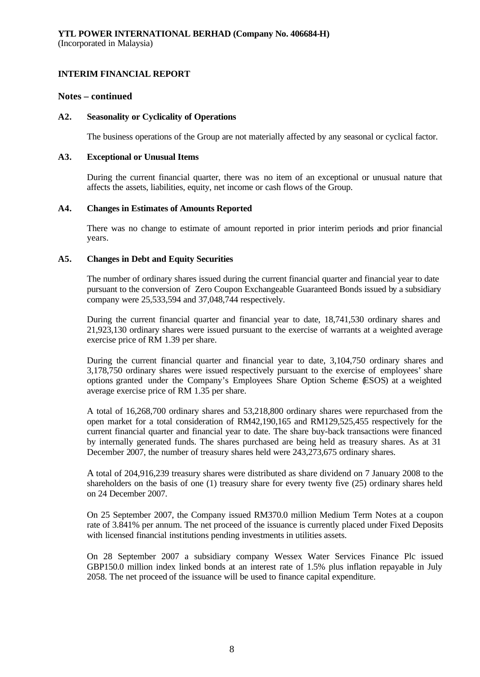## **Notes – continued**

## **A2. Seasonality or Cyclicality of Operations**

The business operations of the Group are not materially affected by any seasonal or cyclical factor.

### **A3. Exceptional or Unusual Items**

During the current financial quarter, there was no item of an exceptional or unusual nature that affects the assets, liabilities, equity, net income or cash flows of the Group.

## **A4. Changes in Estimates of Amounts Reported**

There was no change to estimate of amount reported in prior interim periods and prior financial years.

## **A5. Changes in Debt and Equity Securities**

The number of ordinary shares issued during the current financial quarter and financial year to date pursuant to the conversion of Zero Coupon Exchangeable Guaranteed Bonds issued by a subsidiary company were 25,533,594 and 37,048,744 respectively.

During the current financial quarter and financial year to date, 18,741,530 ordinary shares and 21,923,130 ordinary shares were issued pursuant to the exercise of warrants at a weighted average exercise price of RM 1.39 per share.

During the current financial quarter and financial year to date, 3,104,750 ordinary shares and 3,178,750 ordinary shares were issued respectively pursuant to the exercise of employees' share options granted under the Company's Employees Share Option Scheme (ESOS) at a weighted average exercise price of RM 1.35 per share.

A total of 16,268,700 ordinary shares and 53,218,800 ordinary shares were repurchased from the open market for a total consideration of RM42,190,165 and RM129,525,455 respectively for the current financial quarter and financial year to date. The share buy-back transactions were financed by internally generated funds. The shares purchased are being held as treasury shares. As at 31 December 2007, the number of treasury shares held were 243,273,675 ordinary shares.

A total of 204,916,239 treasury shares were distributed as share dividend on 7 January 2008 to the shareholders on the basis of one (1) treasury share for every twenty five (25) ordinary shares held on 24 December 2007.

On 25 September 2007, the Company issued RM370.0 million Medium Term Notes at a coupon rate of 3.841% per annum. The net proceed of the issuance is currently placed under Fixed Deposits with licensed financial institutions pending investments in utilities assets.

On 28 September 2007 a subsidiary company Wessex Water Services Finance Plc issued GBP150.0 million index linked bonds at an interest rate of 1.5% plus inflation repayable in July 2058. The net proceed of the issuance will be used to finance capital expenditure.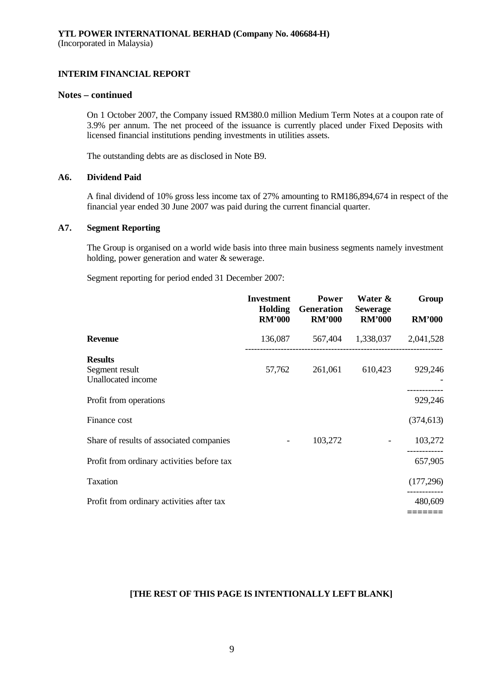## **Notes – continued**

On 1 October 2007, the Company issued RM380.0 million Medium Term Notes at a coupon rate of 3.9% per annum. The net proceed of the issuance is currently placed under Fixed Deposits with licensed financial institutions pending investments in utilities assets.

The outstanding debts are as disclosed in Note B9.

### **A6. Dividend Paid**

A final dividend of 10% gross less income tax of 27% amounting to RM186,894,674 in respect of the financial year ended 30 June 2007 was paid during the current financial quarter.

### **A7. Segment Reporting**

The Group is organised on a world wide basis into three main business segments namely investment holding, power generation and water & sewerage.

Segment reporting for period ended 31 December 2007:

|                                                        | <b>Investment</b><br><b>Holding</b><br><b>RM'000</b> | <b>Power</b><br>Generation<br><b>RM'000</b> | Water &<br><b>Sewerage</b><br><b>RM'000</b> | Group<br><b>RM'000</b> |
|--------------------------------------------------------|------------------------------------------------------|---------------------------------------------|---------------------------------------------|------------------------|
| <b>Revenue</b>                                         | 136,087                                              |                                             | 567,404 1,338,037 2,041,528                 |                        |
| <b>Results</b><br>Segment result<br>Unallocated income | 57,762                                               | 261,061                                     | 610,423                                     | 929,246                |
| Profit from operations                                 |                                                      |                                             |                                             | 929,246                |
| Finance cost                                           |                                                      |                                             |                                             | (374, 613)             |
| Share of results of associated companies               | $\overline{\phantom{a}}$                             | 103,272                                     |                                             | 103,272                |
| Profit from ordinary activities before tax             |                                                      |                                             |                                             | 657,905                |
| Taxation                                               |                                                      |                                             |                                             | (177, 296)             |
| Profit from ordinary activities after tax              |                                                      |                                             |                                             | 480,609                |
|                                                        |                                                      |                                             |                                             |                        |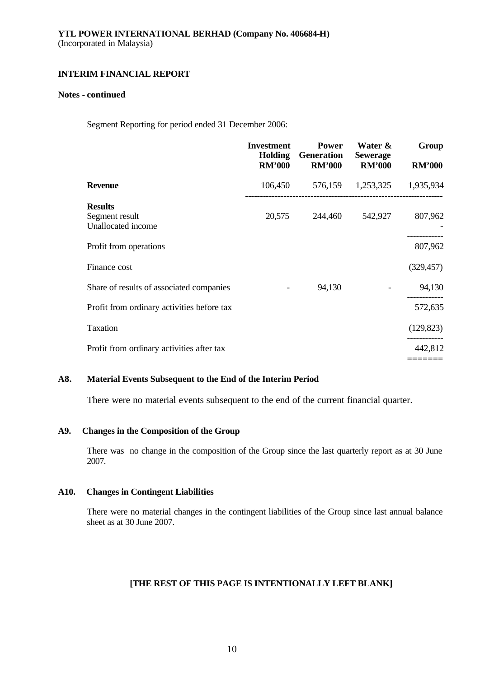### **Notes - continued**

Segment Reporting for period ended 31 December 2006:

|                                                        | <b>Investment</b><br>Holding<br><b>RM'000</b> | <b>Power</b><br><b>Generation</b><br><b>RM'000</b> | Water &<br><b>Sewerage</b><br><b>RM'000</b> | Group<br><b>RM'000</b> |
|--------------------------------------------------------|-----------------------------------------------|----------------------------------------------------|---------------------------------------------|------------------------|
| <b>Revenue</b>                                         |                                               | 106,450 576,159 1,253,325 1,935,934                |                                             |                        |
| <b>Results</b><br>Segment result<br>Unallocated income | 20,575                                        | 244,460                                            | 542,927                                     | 807,962                |
| Profit from operations                                 |                                               |                                                    |                                             | 807,962                |
| Finance cost                                           |                                               |                                                    |                                             | (329, 457)             |
| Share of results of associated companies               |                                               | 94,130                                             |                                             | 94,130                 |
| Profit from ordinary activities before tax             |                                               |                                                    |                                             | 572,635                |
| Taxation                                               |                                               |                                                    |                                             | (129, 823)             |
| Profit from ordinary activities after tax              |                                               |                                                    |                                             | 442,812                |
|                                                        |                                               |                                                    |                                             |                        |

## **A8. Material Events Subsequent to the End of the Interim Period**

There were no material events subsequent to the end of the current financial quarter.

## **A9. Changes in the Composition of the Group**

There was no change in the composition of the Group since the last quarterly report as at 30 June 2007.

## **A10. Changes in Contingent Liabilities**

There were no material changes in the contingent liabilities of the Group since last annual balance sheet as at 30 June 2007.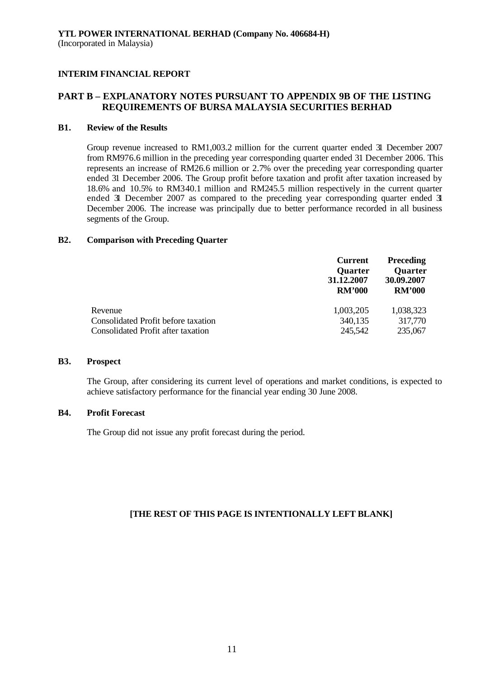## **PART B – EXPLANATORY NOTES PURSUANT TO APPENDIX 9B OF THE LISTING REQUIREMENTS OF BURSA MALAYSIA SECURITIES BERHAD**

## **B1. Review of the Results**

Group revenue increased to RM1,003.2 million for the current quarter ended 31 December 2007 from RM976.6 million in the preceding year corresponding quarter ended 31 December 2006. This represents an increase of RM26.6 million or 2.7% over the preceding year corresponding quarter ended 31 December 2006. The Group profit before taxation and profit after taxation increased by 18.6% and 10.5% to RM340.1 million and RM245.5 million respectively in the current quarter ended 31 December 2007 as compared to the preceding year corresponding quarter ended 3 December 2006. The increase was principally due to better performance recorded in all business segments of the Group.

### **B2. Comparison with Preceding Quarter**

|                                     | <b>Current</b><br><b>Quarter</b><br>31.12.2007<br><b>RM'000</b> | <b>Preceding</b><br><b>Quarter</b><br>30.09.2007<br><b>RM'000</b> |
|-------------------------------------|-----------------------------------------------------------------|-------------------------------------------------------------------|
| Revenue                             | 1,003,205                                                       | 1,038,323                                                         |
| Consolidated Profit before taxation | 340,135                                                         | 317,770                                                           |
| Consolidated Profit after taxation  | 245,542                                                         | 235,067                                                           |

### **B3. Prospect**

The Group, after considering its current level of operations and market conditions, is expected to achieve satisfactory performance for the financial year ending 30 June 2008.

## **B4. Profit Forecast**

The Group did not issue any profit forecast during the period.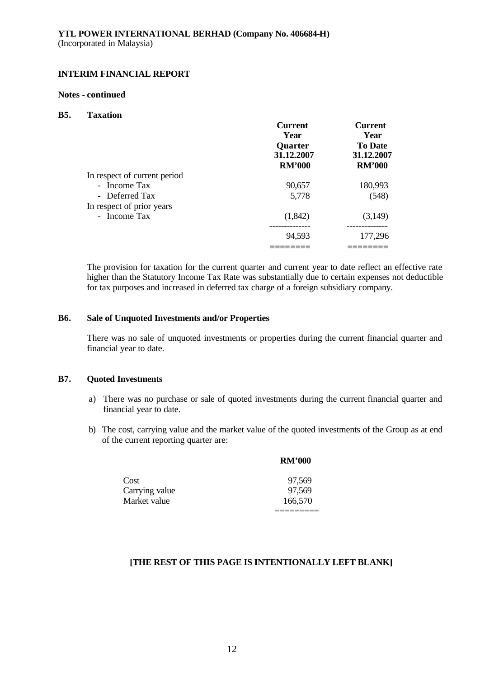### **Notes - continued**

### **B5. Taxation**

|                              | <b>Current</b><br>Year<br><b>Quarter</b><br>31.12.2007<br><b>RM'000</b> | <b>Current</b><br>Year<br><b>To Date</b><br>31.12.2007<br><b>RM'000</b> |
|------------------------------|-------------------------------------------------------------------------|-------------------------------------------------------------------------|
| In respect of current period |                                                                         |                                                                         |
| - Income Tax                 | 90,657                                                                  | 180,993                                                                 |
| - Deferred Tax               | 5,778                                                                   | (548)                                                                   |
| In respect of prior years    |                                                                         |                                                                         |
| - Income Tax                 | (1,842)                                                                 | (3,149)                                                                 |
|                              |                                                                         |                                                                         |
|                              | 94,593                                                                  | 177,296                                                                 |
|                              |                                                                         |                                                                         |

The provision for taxation for the current quarter and current year to date reflect an effective rate higher than the Statutory Income Tax Rate was substantially due to certain expenses not deductible for tax purposes and increased in deferred tax charge of a foreign subsidiary company.

### **B6. Sale of Unquoted Investments and/or Properties**

There was no sale of unquoted investments or properties during the current financial quarter and financial year to date.

### **B7. Quoted Investments**

- a) There was no purchase or sale of quoted investments during the current financial quarter and financial year to date.
- b) The cost, carrying value and the market value of the quoted investments of the Group as at end of the current reporting quarter are:

**RM'000**

|                | KM'000  |
|----------------|---------|
| Cost           | 97,569  |
| Carrying value | 97,569  |
| Market value   | 166,570 |
|                |         |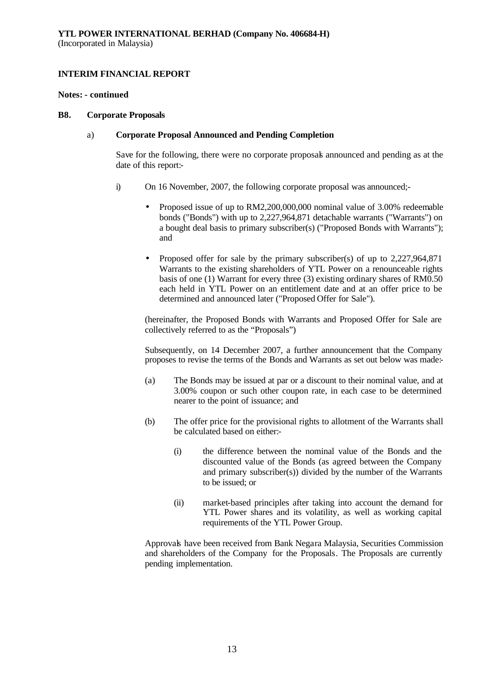### **Notes: - continued**

### **B8. Corporate Proposals**

## a) **Corporate Proposal Announced and Pending Completion**

Save for the following, there were no corporate proposals announced and pending as at the date of this report:-

- i) On 16 November, 2007, the following corporate proposal was announced;-
	- Proposed issue of up to RM2,200,000,000 nominal value of 3.00% redeemable bonds ("Bonds") with up to 2,227,964,871 detachable warrants ("Warrants") on a bought deal basis to primary subscriber(s) ("Proposed Bonds with Warrants"); and
	- Proposed offer for sale by the primary subscriber(s) of up to 2,227,964,871 Warrants to the existing shareholders of YTL Power on a renounceable rights basis of one (1) Warrant for every three (3) existing ordinary shares of RM0.50 each held in YTL Power on an entitlement date and at an offer price to be determined and announced later ("Proposed Offer for Sale").

(hereinafter, the Proposed Bonds with Warrants and Proposed Offer for Sale are collectively referred to as the "Proposals")

Subsequently, on 14 December 2007, a further announcement that the Company proposes to revise the terms of the Bonds and Warrants as set out below was made:-

- (a) The Bonds may be issued at par or a discount to their nominal value, and at 3.00% coupon or such other coupon rate, in each case to be determined nearer to the point of issuance; and
- (b) The offer price for the provisional rights to allotment of the Warrants shall be calculated based on either:-
	- (i) the difference between the nominal value of the Bonds and the discounted value of the Bonds (as agreed between the Company and primary subscriber(s)) divided by the number of the Warrants to be issued; or
	- (ii) market-based principles after taking into account the demand for YTL Power shares and its volatility, as well as working capital requirements of the YTL Power Group.

Approvals have been received from Bank Negara Malaysia, Securities Commission and shareholders of the Company for the Proposals. The Proposals are currently pending implementation.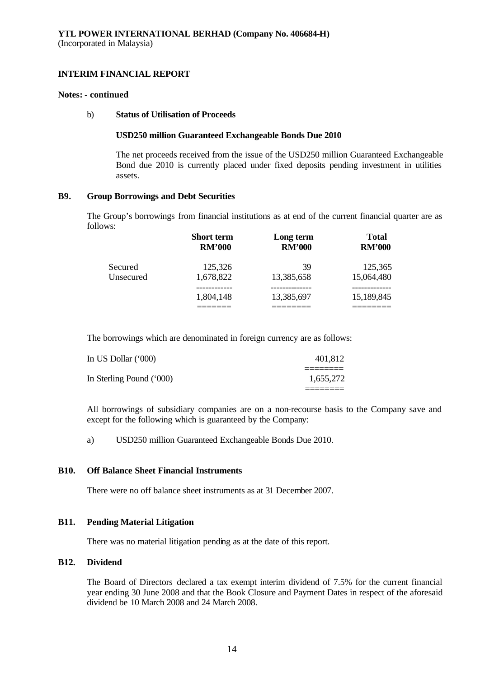### **Notes: - continued**

### b) **Status of Utilisation of Proceeds**

### **USD250 million Guaranteed Exchangeable Bonds Due 2010**

The net proceeds received from the issue of the USD250 million Guaranteed Exchangeable Bond due 2010 is currently placed under fixed deposits pending investment in utilities assets.

### **B9. Group Borrowings and Debt Securities**

The Group's borrowings from financial institutions as at end of the current financial quarter are as follows:

|                      | <b>Short term</b><br><b>RM'000</b> | Long term<br><b>RM'000</b> | <b>Total</b><br><b>RM'000</b> |
|----------------------|------------------------------------|----------------------------|-------------------------------|
| Secured<br>Unsecured | 125,326<br>1,678,822               | 39<br>13,385,658           | 125,365<br>15,064,480         |
|                      | 1,804,148                          | 13,385,697                 | 15,189,845                    |

The borrowings which are denominated in foreign currency are as follows:

| In US Dollar (*000)      | 401,812   |
|--------------------------|-----------|
| In Sterling Pound ('000) | 1,655,272 |
|                          |           |

All borrowings of subsidiary companies are on a non-recourse basis to the Company save and except for the following which is guaranteed by the Company:

a) USD250 million Guaranteed Exchangeable Bonds Due 2010.

## **B10. Off Balance Sheet Financial Instruments**

There were no off balance sheet instruments as at 31 December 2007.

## **B11. Pending Material Litigation**

There was no material litigation pending as at the date of this report.

## **B12. Dividend**

The Board of Directors declared a tax exempt interim dividend of 7.5% for the current financial year ending 30 June 2008 and that the Book Closure and Payment Dates in respect of the aforesaid dividend be 10 March 2008 and 24 March 2008.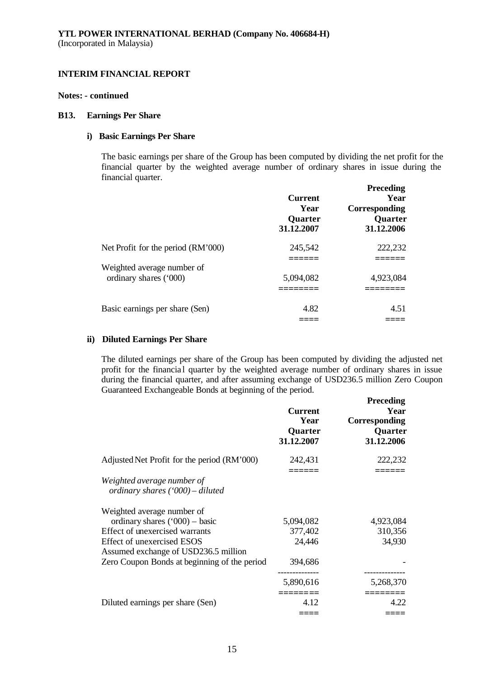### **Notes: - continued**

### **B13. Earnings Per Share**

## **i) Basic Earnings Per Share**

The basic earnings per share of the Group has been computed by dividing the net profit for the financial quarter by the weighted average number of ordinary shares in issue during the financial quarter.

|                                    | <b>Current</b><br>Year<br><b>Quarter</b><br>31.12.2007 | <b>Preceding</b><br>Year<br>Corresponding<br>Quarter<br>31.12.2006 |
|------------------------------------|--------------------------------------------------------|--------------------------------------------------------------------|
| Net Profit for the period (RM'000) | 245,542                                                | 222,232                                                            |
| Weighted average number of         |                                                        |                                                                    |
| ordinary shares ('000)             | 5,094,082                                              | 4,923,084                                                          |
|                                    |                                                        |                                                                    |
| Basic earnings per share (Sen)     | 4.82                                                   | 4.51                                                               |
|                                    |                                                        |                                                                    |

## **ii) Diluted Earnings Per Share**

The diluted earnings per share of the Group has been computed by dividing the adjusted net profit for the financial quarter by the weighted average number of ordinary shares in issue during the financial quarter, and after assuming exchange of USD236.5 million Zero Coupon Guaranteed Exchangeable Bonds at beginning of the period.

|                                                                    | <b>Current</b><br>Year<br>Quarter<br>31.12.2007 | <b>Preceding</b><br>Year<br>Corresponding<br>Quarter<br>31.12.2006 |
|--------------------------------------------------------------------|-------------------------------------------------|--------------------------------------------------------------------|
| Adjusted Net Profit for the period (RM'000)                        | 242,431                                         | 222,232                                                            |
| Weighted average number of<br>ordinary shares $(900)$ – diluted    |                                                 |                                                                    |
| Weighted average number of                                         |                                                 |                                                                    |
| ordinary shares $('000)$ - basic                                   | 5,094,082                                       | 4,923,084                                                          |
| Effect of unexercised warrants                                     | 377,402                                         | 310,356                                                            |
| Effect of unexercised ESOS<br>Assumed exchange of USD236.5 million | 24,446                                          | 34,930                                                             |
| Zero Coupon Bonds at beginning of the period                       | 394,686                                         | ----------                                                         |
|                                                                    | 5,890,616                                       | 5,268,370                                                          |
| Diluted earnings per share (Sen)                                   | 4.12                                            | 4.22                                                               |
|                                                                    |                                                 |                                                                    |